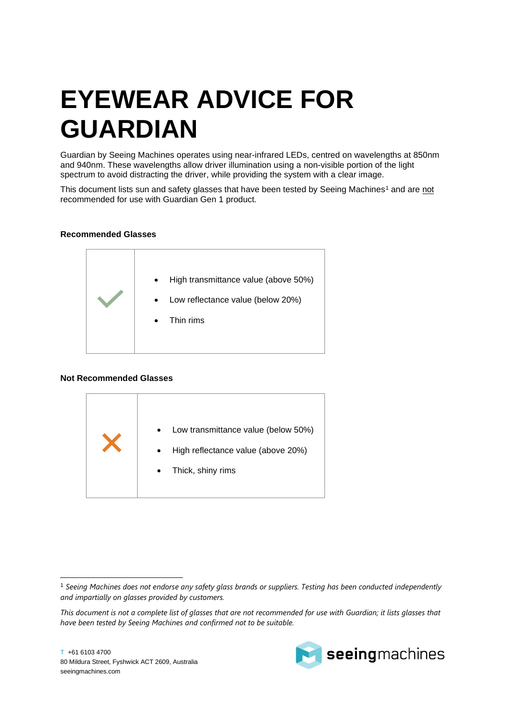## **EYEWEAR ADVICE FOR GUARDIAN**

Guardian by Seeing Machines operates using near-infrared LEDs, centred on wavelengths at 850nm and 940nm. These wavelengths allow driver illumination using a non-visible portion of the light spectrum to avoid distracting the driver, while providing the system with a clear image.

This document lists sun and safety glasses that have been tested by Seeing Machines<sup>1</sup> and are not recommended for use with Guardian Gen 1 product.

## **Recommended Glasses**



## **Not Recommended Glasses**





<sup>1</sup> *Seeing Machines does not endorse any safety glass brands or suppliers. Testing has been conducted independently and impartially on glasses provided by customers.*

*This document is not a complete list of glasses that are not recommended for use with Guardian; it lists glasses that have been tested by Seeing Machines and confirmed not to be suitable.*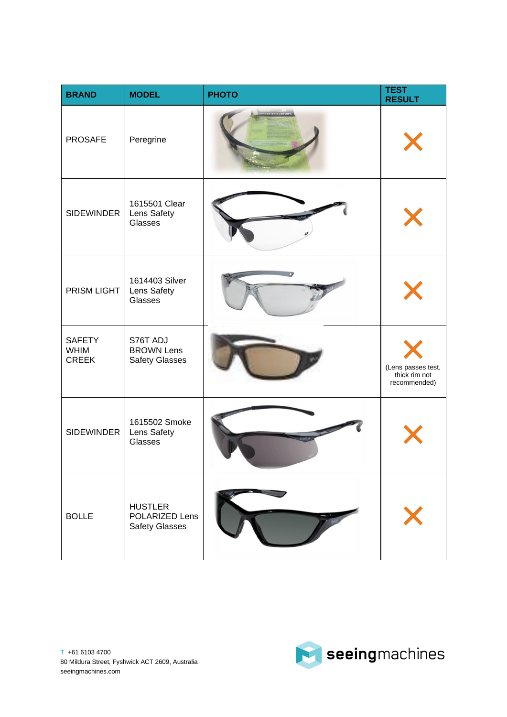| <b>BRAND</b>                                 | <b>MODEL</b>                                              | <b>PHOTO</b> | <b>TEST</b><br><b>RESULT</b>                        |
|----------------------------------------------|-----------------------------------------------------------|--------------|-----------------------------------------------------|
| <b>PROSAFE</b>                               | Peregrine                                                 |              |                                                     |
| <b>SIDEWINDER</b>                            | 1615501 Clear<br>Lens Safety<br>Glasses                   |              |                                                     |
| PRISM LIGHT                                  | 1614403 Silver<br>Lens Safety<br>Glasses                  |              |                                                     |
| <b>SAFETY</b><br><b>WHIM</b><br><b>CREEK</b> | S76T ADJ<br><b>BROWN Lens</b><br><b>Safety Glasses</b>    |              | (Lens passes test,<br>thick rim not<br>recommended) |
| <b>SIDEWINDER</b>                            | 1615502 Smoke<br>Lens Safety<br>Glasses                   |              |                                                     |
| <b>BOLLE</b>                                 | <b>HUSTLER</b><br>POLARIZED Lens<br><b>Safety Glasses</b> |              |                                                     |

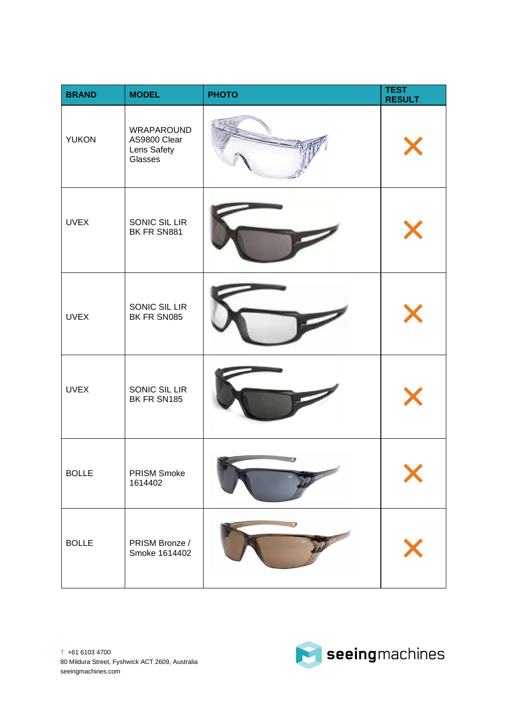| <b>BRAND</b> | <b>MODEL</b>                                         | <b>PHOTO</b> | <b>TEST</b><br><b>RESULT</b> |
|--------------|------------------------------------------------------|--------------|------------------------------|
| <b>YUKON</b> | WRAPAROUND<br>AS9800 Clear<br>Lens Safety<br>Glasses |              |                              |
| <b>UVEX</b>  | SONIC SIL LIR<br>BK FR SN881                         |              |                              |
| <b>UVEX</b>  | SONIC SIL LIR<br>BK FR SN085                         |              |                              |
| <b>UVEX</b>  | SONIC SIL LIR<br>BK FR SN185                         |              |                              |
| <b>BOLLE</b> | PRISM Smoke<br>1614402                               |              |                              |
| <b>BOLLE</b> | PRISM Bronze /<br>Smoke 1614402                      |              |                              |

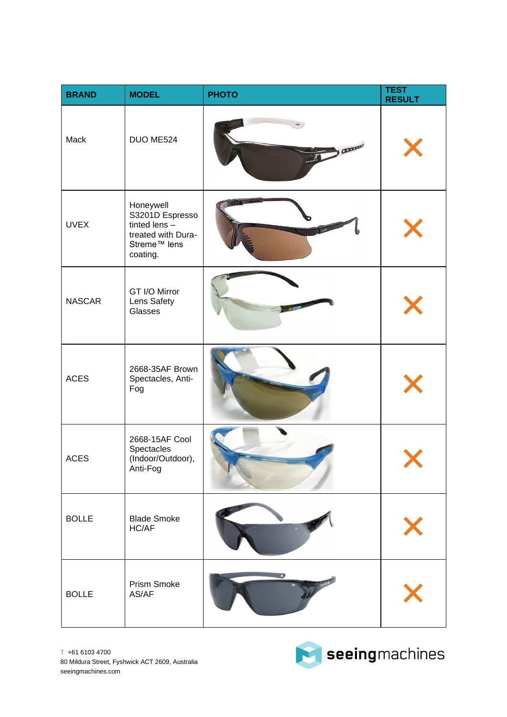| <b>BRAND</b>  | <b>MODEL</b>                                                                                                  | <b>PHOTO</b> | <b>TEST</b><br><b>RESULT</b> |
|---------------|---------------------------------------------------------------------------------------------------------------|--------------|------------------------------|
| Mack          | DUO ME524                                                                                                     | Chance       |                              |
| <b>UVEX</b>   | Honeywell<br>S3201D Espresso<br>tinted $lens -$<br>treated with Dura-<br>Streme <sup>™</sup> lens<br>coating. |              |                              |
| <b>NASCAR</b> | GT I/O Mirror<br>Lens Safety<br>Glasses                                                                       |              |                              |
| <b>ACES</b>   | 2668-35AF Brown<br>Spectacles, Anti-<br>Fog                                                                   |              |                              |
| <b>ACES</b>   | 2668-15AF Cool<br>Spectacles<br>(Indoor/Outdoor),<br>Anti-Fog                                                 |              |                              |
| <b>BOLLE</b>  | <b>Blade Smoke</b><br>HC/AF                                                                                   |              |                              |
| <b>BOLLE</b>  | Prism Smoke<br>AS/AF                                                                                          |              |                              |



Seeingmachines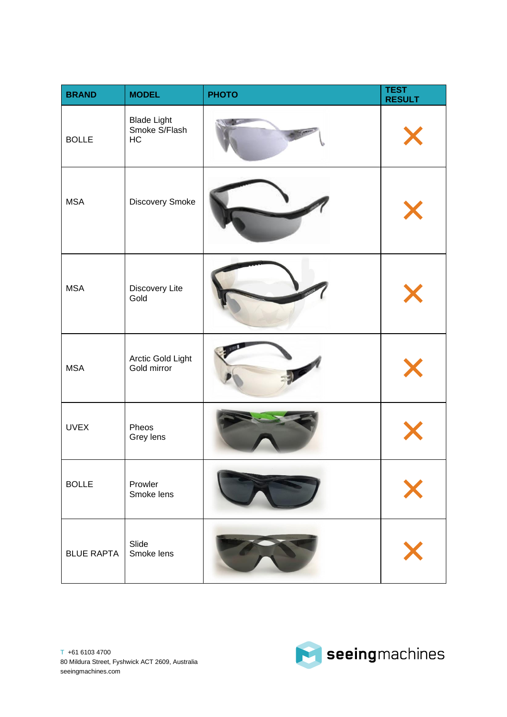| <b>BRAND</b>      | <b>MODEL</b>                              | <b>PHOTO</b> | <b>TEST</b><br><b>RESULT</b> |
|-------------------|-------------------------------------------|--------------|------------------------------|
| <b>BOLLE</b>      | <b>Blade Light</b><br>Smoke S/Flash<br>HC |              |                              |
| <b>MSA</b>        | Discovery Smoke                           |              |                              |
| <b>MSA</b>        | Discovery Lite<br>Gold                    |              |                              |
| <b>MSA</b>        | Arctic Gold Light<br>Gold mirror          |              |                              |
| <b>UVEX</b>       | Pheos<br>Grey lens                        |              |                              |
| <b>BOLLE</b>      | Prowler<br>Smoke lens                     |              |                              |
| <b>BLUE RAPTA</b> | Slide<br>Smoke lens                       |              |                              |

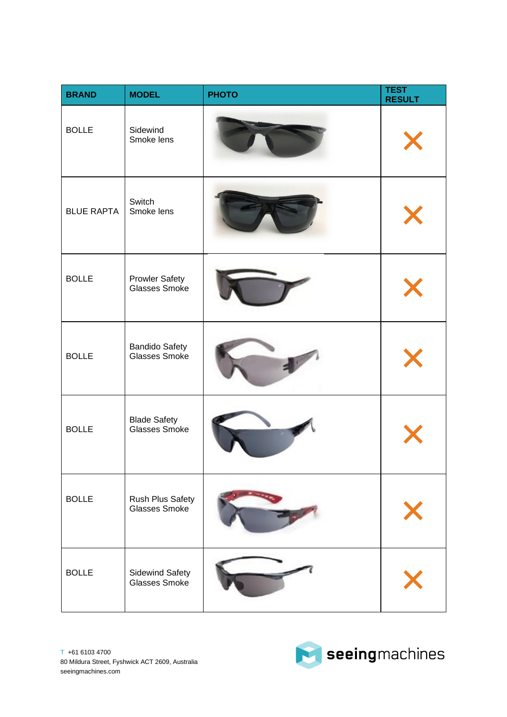| <b>BRAND</b>      | <b>MODEL</b>                            | <b>PHOTO</b> | <b>TEST</b><br><b>RESULT</b> |
|-------------------|-----------------------------------------|--------------|------------------------------|
| <b>BOLLE</b>      | Sidewind<br>Smoke lens                  |              |                              |
| <b>BLUE RAPTA</b> | Switch<br>Smoke lens                    |              |                              |
| <b>BOLLE</b>      | <b>Prowler Safety</b><br>Glasses Smoke  |              |                              |
| <b>BOLLE</b>      | <b>Bandido Safety</b><br>Glasses Smoke  |              |                              |
| <b>BOLLE</b>      | <b>Blade Safety<br/>Glasses Smoke</b>   |              |                              |
| <b>BOLLE</b>      | Rush Plus Safety<br>Glasses Smoke       |              |                              |
| <b>BOLLE</b>      | <b>Sidewind Safety</b><br>Glasses Smoke |              |                              |